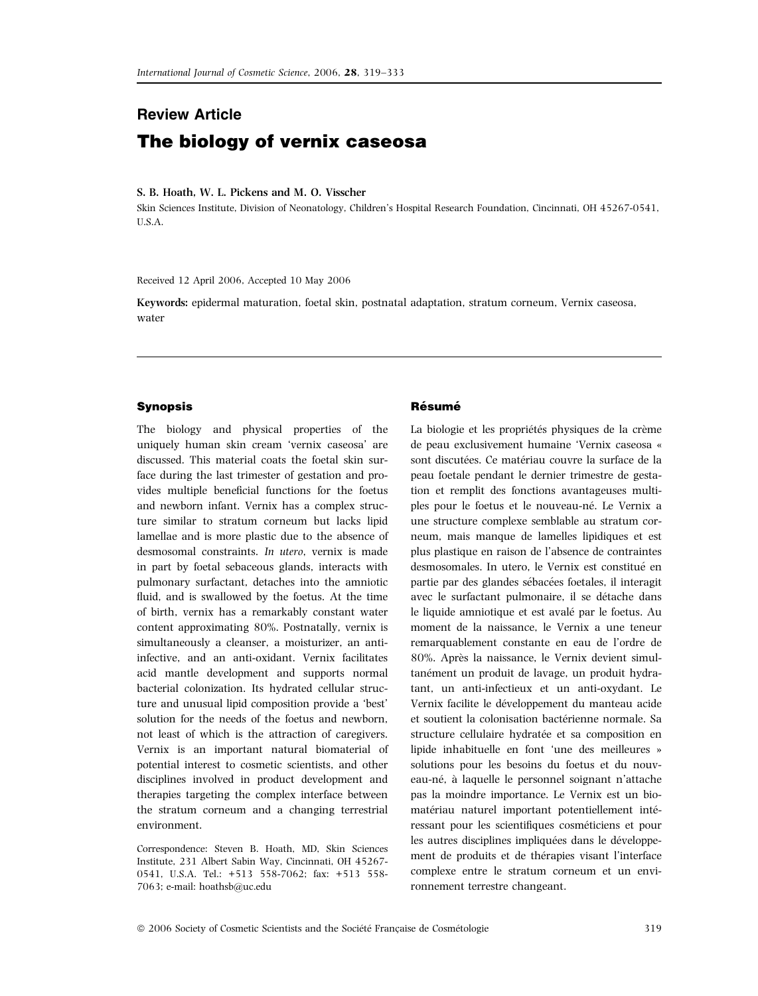# Review Article The biology of vernix caseosa

## S. B. Hoath, W. L. Pickens and M. O. Visscher

Skin Sciences Institute, Division of Neonatology, Children's Hospital Research Foundation, Cincinnati, OH 45267-0541, U.S.A.

Received 12 April 2006, Accepted 10 May 2006

Keywords: epidermal maturation, foetal skin, postnatal adaptation, stratum corneum, Vernix caseosa, water

#### **Synopsis**

The biology and physical properties of the uniquely human skin cream 'vernix caseosa' are discussed. This material coats the foetal skin surface during the last trimester of gestation and provides multiple beneficial functions for the foetus and newborn infant. Vernix has a complex structure similar to stratum corneum but lacks lipid lamellae and is more plastic due to the absence of desmosomal constraints. In utero, vernix is made in part by foetal sebaceous glands, interacts with pulmonary surfactant, detaches into the amniotic fluid, and is swallowed by the foetus. At the time of birth, vernix has a remarkably constant water content approximating 80%. Postnatally, vernix is simultaneously a cleanser, a moisturizer, an antiinfective, and an anti-oxidant. Vernix facilitates acid mantle development and supports normal bacterial colonization. Its hydrated cellular structure and unusual lipid composition provide a 'best' solution for the needs of the foetus and newborn, not least of which is the attraction of caregivers. Vernix is an important natural biomaterial of potential interest to cosmetic scientists, and other disciplines involved in product development and therapies targeting the complex interface between the stratum corneum and a changing terrestrial environment.

Correspondence: Steven B. Hoath, MD, Skin Sciences Institute, 231 Albert Sabin Way, Cincinnati, OH 45267- 0541, U.S.A. Tel.: +513 558-7062; fax: +513 558- 7063; e-mail: hoathsb@uc.edu

## **Résumé**

La biologie et les propriétés physiques de la crème de peau exclusivement humaine 'Vernix caseosa « sont discutées. Ce matériau couvre la surface de la peau foetale pendant le dernier trimestre de gestation et remplit des fonctions avantageuses multiples pour le foetus et le nouveau-né. Le Vernix a une structure complexe semblable au stratum corneum, mais manque de lamelles lipidiques et est plus plastique en raison de l'absence de contraintes desmosomales. In utero, le Vernix est constitué en partie par des glandes sébacées foetales, il interagit avec le surfactant pulmonaire, il se détache dans le liquide amniotique et est avalé par le foetus. Au moment de la naissance, le Vernix a une teneur remarquablement constante en eau de l'ordre de 80%. Après la naissance, le Vernix devient simultanément un produit de lavage, un produit hydratant, un anti-infectieux et un anti-oxydant. Le Vernix facilite le développement du manteau acide et soutient la colonisation bactérienne normale. Sa structure cellulaire hydratée et sa composition en lipide inhabituelle en font 'une des meilleures » solutions pour les besoins du foetus et du nouveau-né, à laquelle le personnel soignant n'attache pas la moindre importance. Le Vernix est un biomatériau naturel important potentiellement intéressant pour les scientifiques cosméticiens et pour les autres disciplines impliquées dans le développement de produits et de thérapies visant l'interface complexe entre le stratum corneum et un environnement terrestre changeant.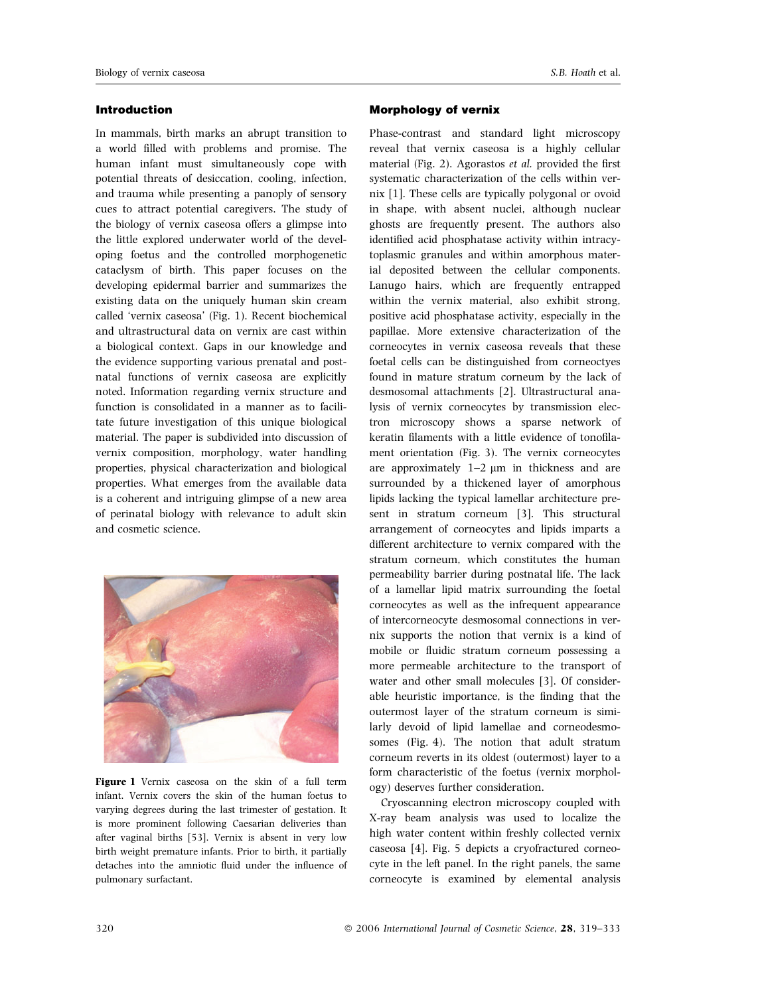## Introduction

In mammals, birth marks an abrupt transition to a world filled with problems and promise. The human infant must simultaneously cope with potential threats of desiccation, cooling, infection, and trauma while presenting a panoply of sensory cues to attract potential caregivers. The study of the biology of vernix caseosa offers a glimpse into the little explored underwater world of the developing foetus and the controlled morphogenetic cataclysm of birth. This paper focuses on the developing epidermal barrier and summarizes the existing data on the uniquely human skin cream called 'vernix caseosa' (Fig. 1). Recent biochemical and ultrastructural data on vernix are cast within a biological context. Gaps in our knowledge and the evidence supporting various prenatal and postnatal functions of vernix caseosa are explicitly noted. Information regarding vernix structure and function is consolidated in a manner as to facilitate future investigation of this unique biological material. The paper is subdivided into discussion of vernix composition, morphology, water handling properties, physical characterization and biological properties. What emerges from the available data is a coherent and intriguing glimpse of a new area of perinatal biology with relevance to adult skin and cosmetic science.



Figure 1 Vernix caseosa on the skin of a full term infant. Vernix covers the skin of the human foetus to varying degrees during the last trimester of gestation. It is more prominent following Caesarian deliveries than after vaginal births [53]. Vernix is absent in very low birth weight premature infants. Prior to birth, it partially detaches into the amniotic fluid under the influence of pulmonary surfactant.

#### Morphology of vernix

Phase-contrast and standard light microscopy reveal that vernix caseosa is a highly cellular material (Fig. 2). Agorastos et al. provided the first systematic characterization of the cells within vernix [1]. These cells are typically polygonal or ovoid in shape, with absent nuclei, although nuclear ghosts are frequently present. The authors also identified acid phosphatase activity within intracytoplasmic granules and within amorphous material deposited between the cellular components. Lanugo hairs, which are frequently entrapped within the vernix material, also exhibit strong, positive acid phosphatase activity, especially in the papillae. More extensive characterization of the corneocytes in vernix caseosa reveals that these foetal cells can be distinguished from corneoctyes found in mature stratum corneum by the lack of desmosomal attachments [2]. Ultrastructural analysis of vernix corneocytes by transmission electron microscopy shows a sparse network of keratin filaments with a little evidence of tonofilament orientation (Fig. 3). The vernix corneocytes are approximately  $1-2$  um in thickness and are surrounded by a thickened layer of amorphous lipids lacking the typical lamellar architecture present in stratum corneum [3]. This structural arrangement of corneocytes and lipids imparts a different architecture to vernix compared with the stratum corneum, which constitutes the human permeability barrier during postnatal life. The lack of a lamellar lipid matrix surrounding the foetal corneocytes as well as the infrequent appearance of intercorneocyte desmosomal connections in vernix supports the notion that vernix is a kind of mobile or fluidic stratum corneum possessing a more permeable architecture to the transport of water and other small molecules [3]. Of considerable heuristic importance, is the finding that the outermost layer of the stratum corneum is similarly devoid of lipid lamellae and corneodesmosomes (Fig. 4). The notion that adult stratum corneum reverts in its oldest (outermost) layer to a form characteristic of the foetus (vernix morphology) deserves further consideration.

Cryoscanning electron microscopy coupled with X-ray beam analysis was used to localize the high water content within freshly collected vernix caseosa [4]. Fig. 5 depicts a cryofractured corneocyte in the left panel. In the right panels, the same corneocyte is examined by elemental analysis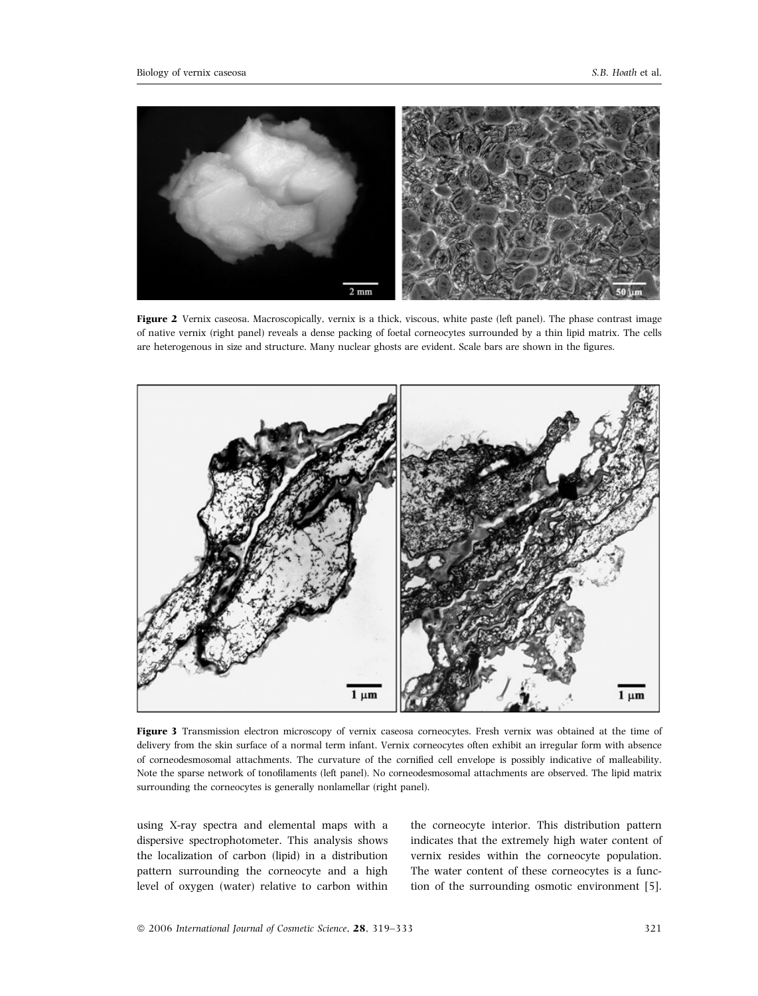

Figure 2 Vernix caseosa. Macroscopically, vernix is a thick, viscous, white paste (left panel). The phase contrast image of native vernix (right panel) reveals a dense packing of foetal corneocytes surrounded by a thin lipid matrix. The cells are heterogenous in size and structure. Many nuclear ghosts are evident. Scale bars are shown in the figures.



Figure 3 Transmission electron microscopy of vernix caseosa corneocytes. Fresh vernix was obtained at the time of delivery from the skin surface of a normal term infant. Vernix corneocytes often exhibit an irregular form with absence of corneodesmosomal attachments. The curvature of the cornified cell envelope is possibly indicative of malleability. Note the sparse network of tonofilaments (left panel). No corneodesmosomal attachments are observed. The lipid matrix surrounding the corneocytes is generally nonlamellar (right panel).

using X-ray spectra and elemental maps with a dispersive spectrophotometer. This analysis shows the localization of carbon (lipid) in a distribution pattern surrounding the corneocyte and a high level of oxygen (water) relative to carbon within

the corneocyte interior. This distribution pattern indicates that the extremely high water content of vernix resides within the corneocyte population. The water content of these corneocytes is a function of the surrounding osmotic environment [5].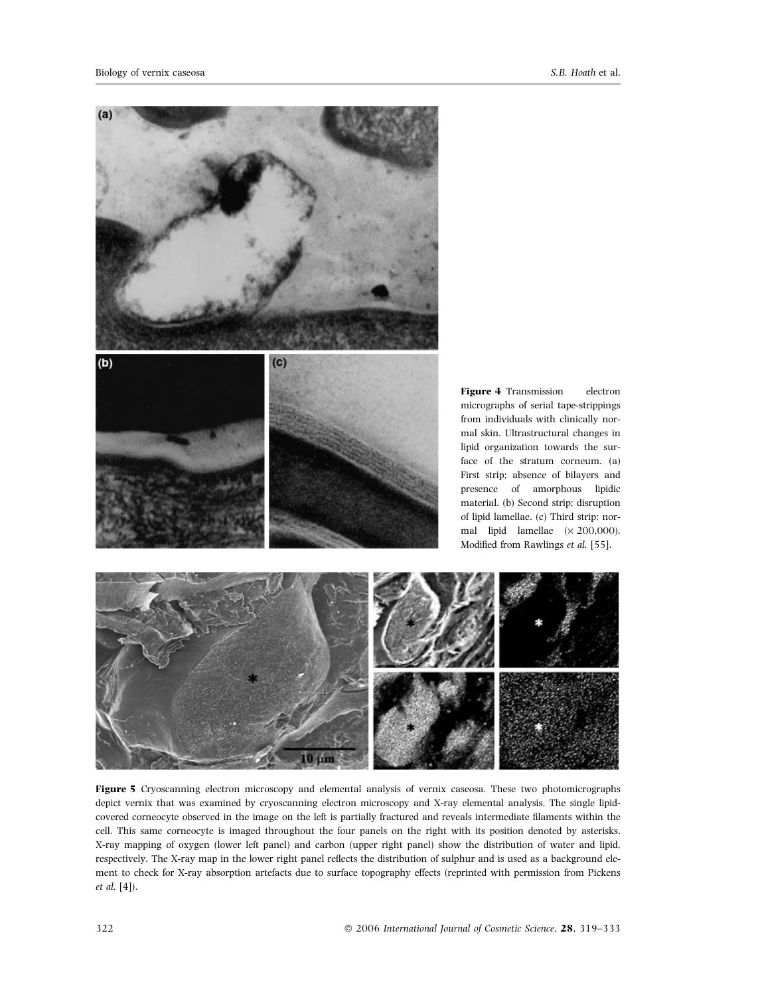

Figure 4 Transmission electron micrographs of serial tape-strippings from individuals with clinically normal skin. Ultrastructural changes in lipid organization towards the surface of the stratum corneum. (a) First strip; absence of bilayers and presence of amorphous lipidic material. (b) Second strip; disruption of lipid lamellae. (c) Third strip; normal lipid lamellae  $(\times\ 200,000)$ . Modified from Rawlings et al. [55].



Figure 5 Cryoscanning electron microscopy and elemental analysis of vernix caseosa. These two photomicrographs depict vernix that was examined by cryoscanning electron microscopy and X-ray elemental analysis. The single lipidcovered corneocyte observed in the image on the left is partially fractured and reveals intermediate filaments within the cell. This same corneocyte is imaged throughout the four panels on the right with its position denoted by asterisks. X-ray mapping of oxygen (lower left panel) and carbon (upper right panel) show the distribution of water and lipid, respectively. The X-ray map in the lower right panel reflects the distribution of sulphur and is used as a background element to check for X-ray absorption artefacts due to surface topography effects (reprinted with permission from Pickens et al. [4]).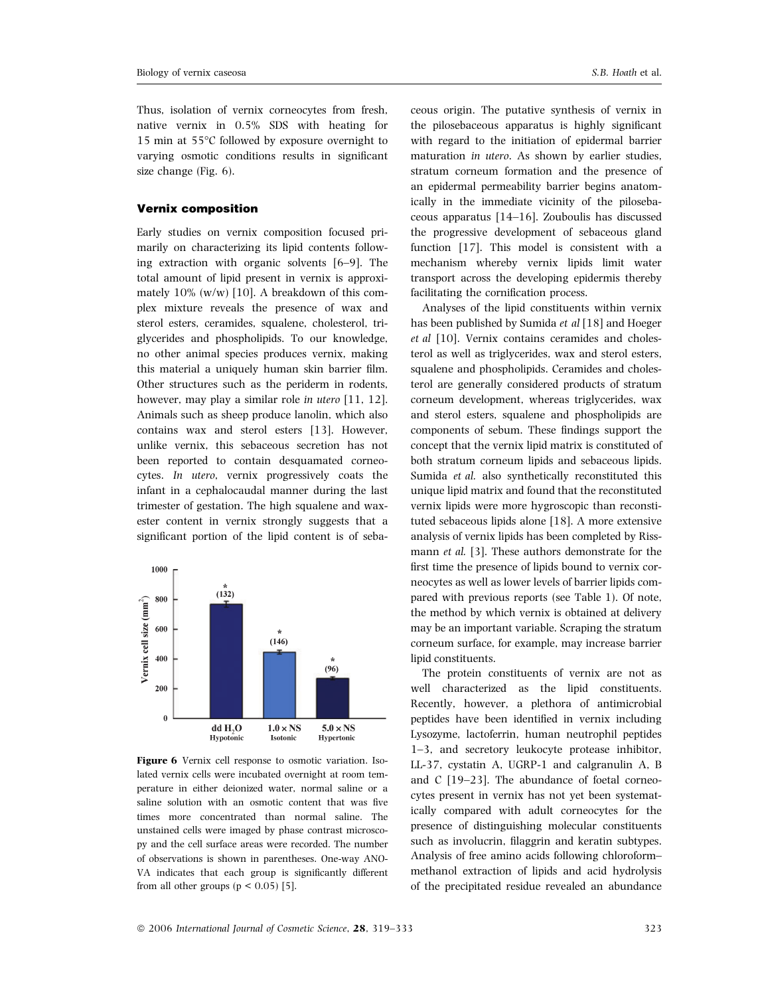Thus, isolation of vernix corneocytes from fresh, native vernix in 0.5% SDS with heating for 15 min at  $55^{\circ}$ C followed by exposure overnight to varying osmotic conditions results in significant size change (Fig. 6).

#### Vernix composition

Early studies on vernix composition focused primarily on characterizing its lipid contents following extraction with organic solvents [6–9]. The total amount of lipid present in vernix is approximately  $10\%$  (w/w) [10]. A breakdown of this complex mixture reveals the presence of wax and sterol esters, ceramides, squalene, cholesterol, triglycerides and phospholipids. To our knowledge, no other animal species produces vernix, making this material a uniquely human skin barrier film. Other structures such as the periderm in rodents, however, may play a similar role in utero [11, 12]. Animals such as sheep produce lanolin, which also contains wax and sterol esters [13]. However, unlike vernix, this sebaceous secretion has not been reported to contain desquamated corneocytes. In utero, vernix progressively coats the infant in a cephalocaudal manner during the last trimester of gestation. The high squalene and waxester content in vernix strongly suggests that a significant portion of the lipid content is of seba-



Figure 6 Vernix cell response to osmotic variation. Isolated vernix cells were incubated overnight at room temperature in either deionized water, normal saline or a saline solution with an osmotic content that was five times more concentrated than normal saline. The unstained cells were imaged by phase contrast microscopy and the cell surface areas were recorded. The number of observations is shown in parentheses. One-way ANO-VA indicates that each group is significantly different from all other groups ( $p < 0.05$ ) [5].

ceous origin. The putative synthesis of vernix in the pilosebaceous apparatus is highly significant with regard to the initiation of epidermal barrier maturation in utero. As shown by earlier studies, stratum corneum formation and the presence of an epidermal permeability barrier begins anatomically in the immediate vicinity of the pilosebaceous apparatus [14–16]. Zouboulis has discussed the progressive development of sebaceous gland function [17]. This model is consistent with a mechanism whereby vernix lipids limit water transport across the developing epidermis thereby facilitating the cornification process.

Analyses of the lipid constituents within vernix has been published by Sumida et al [18] and Hoeger et al [10]. Vernix contains ceramides and cholesterol as well as triglycerides, wax and sterol esters, squalene and phospholipids. Ceramides and cholesterol are generally considered products of stratum corneum development, whereas triglycerides, wax and sterol esters, squalene and phospholipids are components of sebum. These findings support the concept that the vernix lipid matrix is constituted of both stratum corneum lipids and sebaceous lipids. Sumida et al. also synthetically reconstituted this unique lipid matrix and found that the reconstituted vernix lipids were more hygroscopic than reconstituted sebaceous lipids alone [18]. A more extensive analysis of vernix lipids has been completed by Rissmann et al. [3]. These authors demonstrate for the first time the presence of lipids bound to vernix corneocytes as well as lower levels of barrier lipids compared with previous reports (see Table 1). Of note, the method by which vernix is obtained at delivery may be an important variable. Scraping the stratum corneum surface, for example, may increase barrier lipid constituents.

The protein constituents of vernix are not as well characterized as the lipid constituents. Recently, however, a plethora of antimicrobial peptides have been identified in vernix including Lysozyme, lactoferrin, human neutrophil peptides 1–3, and secretory leukocyte protease inhibitor, LL-37, cystatin A, UGRP-1 and calgranulin A, B and C [19–23]. The abundance of foetal corneocytes present in vernix has not yet been systematically compared with adult corneocytes for the presence of distinguishing molecular constituents such as involucrin, filaggrin and keratin subtypes. Analysis of free amino acids following chloroform– methanol extraction of lipids and acid hydrolysis of the precipitated residue revealed an abundance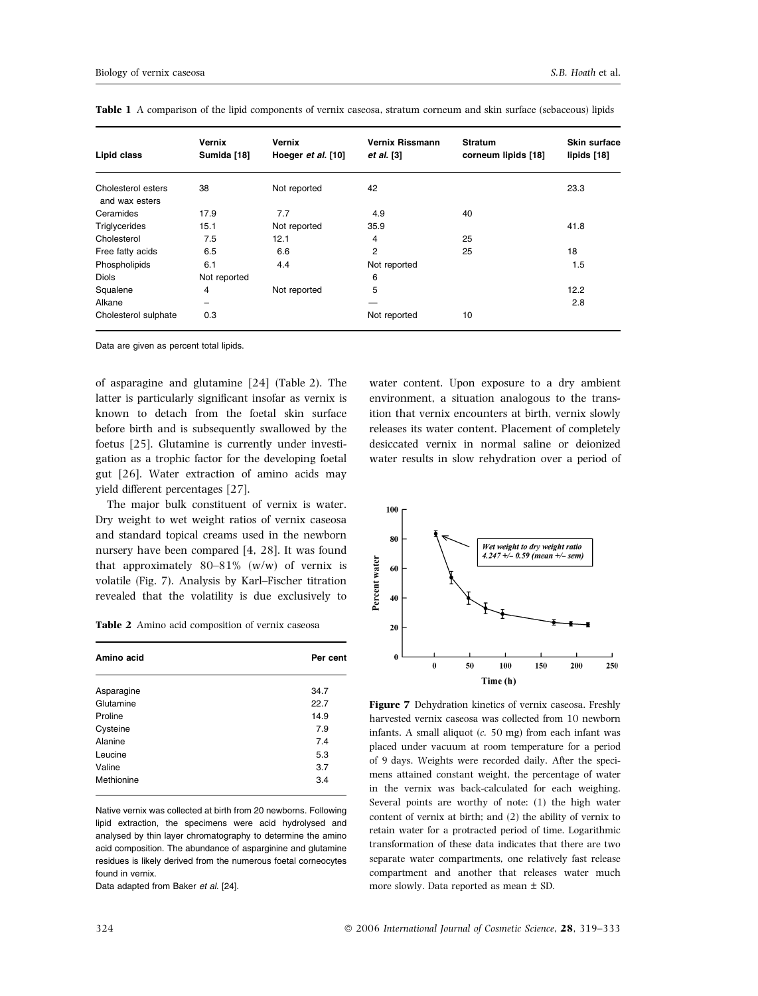| Lipid class                          | Vernix<br>Sumida [18] | Vernix<br>Hoeger et al. [10] | <b>Vernix Rissmann</b><br>et al. [3] | <b>Stratum</b><br>corneum lipids [18] | <b>Skin surface</b><br>lipids [18] |
|--------------------------------------|-----------------------|------------------------------|--------------------------------------|---------------------------------------|------------------------------------|
| Cholesterol esters<br>and wax esters | 38                    | Not reported                 | 42                                   |                                       | 23.3                               |
| Ceramides                            | 17.9                  | 7.7                          | 4.9                                  | 40                                    |                                    |
| Triglycerides                        | 15.1                  | Not reported                 | 35.9                                 |                                       | 41.8                               |
| Cholesterol                          | 7.5                   | 12.1                         | 4                                    | 25                                    |                                    |
| Free fatty acids                     | 6.5                   | 6.6                          | 2                                    | 25                                    | 18                                 |
| Phospholipids                        | 6.1                   | 4.4                          | Not reported                         |                                       | 1.5                                |
| <b>Diols</b>                         | Not reported          |                              | 6                                    |                                       |                                    |
| Squalene                             | 4                     | Not reported                 | 5                                    |                                       | 12.2                               |
| Alkane                               | -                     |                              |                                      |                                       | 2.8                                |
| Cholesterol sulphate                 | 0.3                   |                              | Not reported                         | 10                                    |                                    |

Table 1 A comparison of the lipid components of vernix caseosa, stratum corneum and skin surface (sebaceous) lipids

Data are given as percent total lipids.

of asparagine and glutamine [24] (Table 2). The latter is particularly significant insofar as vernix is known to detach from the foetal skin surface before birth and is subsequently swallowed by the foetus [25]. Glutamine is currently under investigation as a trophic factor for the developing foetal gut [26]. Water extraction of amino acids may yield different percentages [27].

The major bulk constituent of vernix is water. Dry weight to wet weight ratios of vernix caseosa and standard topical creams used in the newborn nursery have been compared [4, 28]. It was found that approximately  $80-81\%$  (w/w) of vernix is volatile (Fig. 7). Analysis by Karl–Fischer titration revealed that the volatility is due exclusively to

|  |  | <b>Table 2</b> Amino acid composition of vernix caseosa |  |  |  |
|--|--|---------------------------------------------------------|--|--|--|
|--|--|---------------------------------------------------------|--|--|--|

| Amino acid | Per cent |  |  |
|------------|----------|--|--|
| Asparagine | 34.7     |  |  |
| Glutamine  | 22.7     |  |  |
| Proline    | 14.9     |  |  |
| Cysteine   | 7.9      |  |  |
| Alanine    | 7.4      |  |  |
| Leucine    | 5.3      |  |  |
| Valine     | 3.7      |  |  |
| Methionine | 3.4      |  |  |

Native vernix was collected at birth from 20 newborns. Following lipid extraction, the specimens were acid hydrolysed and analysed by thin layer chromatography to determine the amino acid composition. The abundance of asparginine and glutamine residues is likely derived from the numerous foetal corneocytes found in vernix.

Data adapted from Baker et al. [24].

water content. Upon exposure to a dry ambient environment, a situation analogous to the transition that vernix encounters at birth, vernix slowly releases its water content. Placement of completely desiccated vernix in normal saline or deionized water results in slow rehydration over a period of



Figure 7 Dehydration kinetics of vernix caseosa. Freshly harvested vernix caseosa was collected from 10 newborn infants. A small aliquot (c. 50 mg) from each infant was placed under vacuum at room temperature for a period of 9 days. Weights were recorded daily. After the specimens attained constant weight, the percentage of water in the vernix was back-calculated for each weighing. Several points are worthy of note: (1) the high water content of vernix at birth; and (2) the ability of vernix to retain water for a protracted period of time. Logarithmic transformation of these data indicates that there are two separate water compartments, one relatively fast release compartment and another that releases water much more slowly. Data reported as mean ± SD.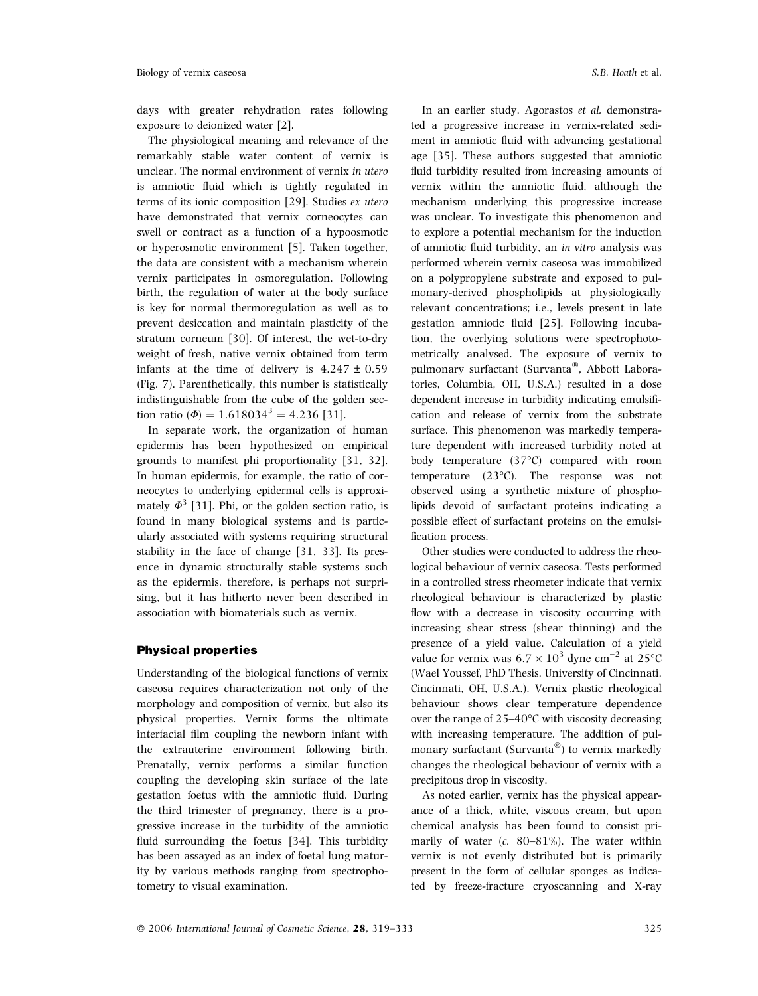days with greater rehydration rates following exposure to deionized water [2].

The physiological meaning and relevance of the remarkably stable water content of vernix is unclear. The normal environment of vernix in utero is amniotic fluid which is tightly regulated in terms of its ionic composition [29]. Studies ex utero have demonstrated that vernix corneocytes can swell or contract as a function of a hypoosmotic or hyperosmotic environment [5]. Taken together, the data are consistent with a mechanism wherein vernix participates in osmoregulation. Following birth, the regulation of water at the body surface is key for normal thermoregulation as well as to prevent desiccation and maintain plasticity of the stratum corneum [30]. Of interest, the wet-to-dry weight of fresh, native vernix obtained from term infants at the time of delivery is  $4.247 \pm 0.59$ (Fig. 7). Parenthetically, this number is statistically indistinguishable from the cube of the golden section ratio ( $\Phi$ ) = 1.618034<sup>3</sup> = 4.236 [31].

In separate work, the organization of human epidermis has been hypothesized on empirical grounds to manifest phi proportionality [31, 32]. In human epidermis, for example, the ratio of corneocytes to underlying epidermal cells is approximately  $\Phi^3$  [31]. Phi, or the golden section ratio, is found in many biological systems and is particularly associated with systems requiring structural stability in the face of change [31, 33]. Its presence in dynamic structurally stable systems such as the epidermis, therefore, is perhaps not surprising, but it has hitherto never been described in association with biomaterials such as vernix.

## Physical properties

Understanding of the biological functions of vernix caseosa requires characterization not only of the morphology and composition of vernix, but also its physical properties. Vernix forms the ultimate interfacial film coupling the newborn infant with the extrauterine environment following birth. Prenatally, vernix performs a similar function coupling the developing skin surface of the late gestation foetus with the amniotic fluid. During the third trimester of pregnancy, there is a progressive increase in the turbidity of the amniotic fluid surrounding the foetus [34]. This turbidity has been assayed as an index of foetal lung maturity by various methods ranging from spectrophotometry to visual examination.

In an earlier study, Agorastos et al. demonstrated a progressive increase in vernix-related sediment in amniotic fluid with advancing gestational age [35]. These authors suggested that amniotic fluid turbidity resulted from increasing amounts of vernix within the amniotic fluid, although the mechanism underlying this progressive increase was unclear. To investigate this phenomenon and to explore a potential mechanism for the induction of amniotic fluid turbidity, an in vitro analysis was performed wherein vernix caseosa was immobilized on a polypropylene substrate and exposed to pulmonary-derived phospholipids at physiologically relevant concentrations; i.e., levels present in late gestation amniotic fluid [25]. Following incubation, the overlying solutions were spectrophotometrically analysed. The exposure of vernix to pulmonary surfactant (Survanta®, Abbott Laboratories, Columbia, OH, U.S.A.) resulted in a dose dependent increase in turbidity indicating emulsification and release of vernix from the substrate surface. This phenomenon was markedly temperature dependent with increased turbidity noted at body temperature (37°C) compared with room temperature  $(23^{\circ}C)$ . The response was not observed using a synthetic mixture of phospholipids devoid of surfactant proteins indicating a possible effect of surfactant proteins on the emulsification process.

Other studies were conducted to address the rheological behaviour of vernix caseosa. Tests performed in a controlled stress rheometer indicate that vernix rheological behaviour is characterized by plastic flow with a decrease in viscosity occurring with increasing shear stress (shear thinning) and the presence of a yield value. Calculation of a yield value for vernix was  $6.7 \times 10^3$  dyne cm<sup>-2</sup> at 25 $\degree$ C (Wael Youssef, PhD Thesis, University of Cincinnati, Cincinnati, OH, U.S.A.). Vernix plastic rheological behaviour shows clear temperature dependence over the range of  $25-40^{\circ}$ C with viscosity decreasing with increasing temperature. The addition of pulmonary surfactant (Survanta®) to vernix markedly changes the rheological behaviour of vernix with a precipitous drop in viscosity.

As noted earlier, vernix has the physical appearance of a thick, white, viscous cream, but upon chemical analysis has been found to consist primarily of water  $(c. 80-81\%)$ . The water within vernix is not evenly distributed but is primarily present in the form of cellular sponges as indicated by freeze-fracture cryoscanning and X-ray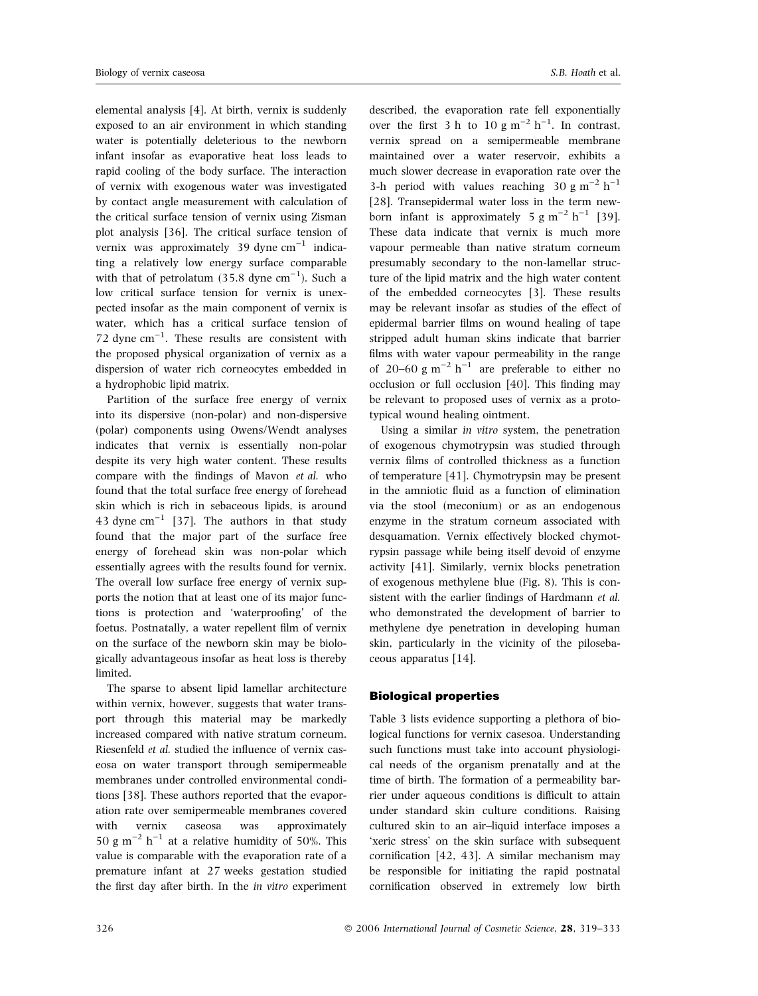elemental analysis [4]. At birth, vernix is suddenly exposed to an air environment in which standing water is potentially deleterious to the newborn infant insofar as evaporative heat loss leads to rapid cooling of the body surface. The interaction of vernix with exogenous water was investigated by contact angle measurement with calculation of the critical surface tension of vernix using Zisman plot analysis [36]. The critical surface tension of vernix was approximately 39 dyne  $cm^{-1}$  indicating a relatively low energy surface comparable with that of petrolatum  $(35.8 \text{ dyne cm}^{-1})$ . Such a low critical surface tension for vernix is unexpected insofar as the main component of vernix is water, which has a critical surface tension of 72 dyne  $cm^{-1}$ . These results are consistent with the proposed physical organization of vernix as a dispersion of water rich corneocytes embedded in a hydrophobic lipid matrix.

Partition of the surface free energy of vernix into its dispersive (non-polar) and non-dispersive (polar) components using Owens/Wendt analyses indicates that vernix is essentially non-polar despite its very high water content. These results compare with the findings of Mavon et al. who found that the total surface free energy of forehead skin which is rich in sebaceous lipids, is around 43 dyne  $\text{cm}^{-1}$  [37]. The authors in that study found that the major part of the surface free energy of forehead skin was non-polar which essentially agrees with the results found for vernix. The overall low surface free energy of vernix supports the notion that at least one of its major functions is protection and 'waterproofing' of the foetus. Postnatally, a water repellent film of vernix on the surface of the newborn skin may be biologically advantageous insofar as heat loss is thereby limited.

The sparse to absent lipid lamellar architecture within vernix, however, suggests that water transport through this material may be markedly increased compared with native stratum corneum. Riesenfeld et al. studied the influence of vernix caseosa on water transport through semipermeable membranes under controlled environmental conditions [38]. These authors reported that the evaporation rate over semipermeable membranes covered with vernix caseosa was approximately 50 g m<sup>-2</sup> h<sup>-1</sup> at a relative humidity of 50%. This value is comparable with the evaporation rate of a premature infant at 27 weeks gestation studied the first day after birth. In the in vitro experiment described, the evaporation rate fell exponentially over the first 3 h to 10 g  $m^{-2}$  h<sup>-1</sup>. In contrast, vernix spread on a semipermeable membrane maintained over a water reservoir, exhibits a much slower decrease in evaporation rate over the 3-h period with values reaching 30 g m<sup>-2</sup> h<sup>-1</sup> [28]. Transepidermal water loss in the term newborn infant is approximately  $5 \text{ g m}^{-2} \text{ h}^{-1}$  [39]. These data indicate that vernix is much more vapour permeable than native stratum corneum presumably secondary to the non-lamellar structure of the lipid matrix and the high water content of the embedded corneocytes [3]. These results may be relevant insofar as studies of the effect of epidermal barrier films on wound healing of tape stripped adult human skins indicate that barrier films with water vapour permeability in the range of 20–60 g m<sup>-2</sup> h<sup>-1</sup> are preferable to either no occlusion or full occlusion [40]. This finding may be relevant to proposed uses of vernix as a prototypical wound healing ointment.

Using a similar in vitro system, the penetration of exogenous chymotrypsin was studied through vernix films of controlled thickness as a function of temperature [41]. Chymotrypsin may be present in the amniotic fluid as a function of elimination via the stool (meconium) or as an endogenous enzyme in the stratum corneum associated with desquamation. Vernix effectively blocked chymotrypsin passage while being itself devoid of enzyme activity [41]. Similarly, vernix blocks penetration of exogenous methylene blue (Fig. 8). This is consistent with the earlier findings of Hardmann et al. who demonstrated the development of barrier to methylene dye penetration in developing human skin, particularly in the vicinity of the pilosebaceous apparatus [14].

### Biological properties

Table 3 lists evidence supporting a plethora of biological functions for vernix casesoa. Understanding such functions must take into account physiological needs of the organism prenatally and at the time of birth. The formation of a permeability barrier under aqueous conditions is difficult to attain under standard skin culture conditions. Raising cultured skin to an air–liquid interface imposes a 'xeric stress' on the skin surface with subsequent cornification [42, 43]. A similar mechanism may be responsible for initiating the rapid postnatal cornification observed in extremely low birth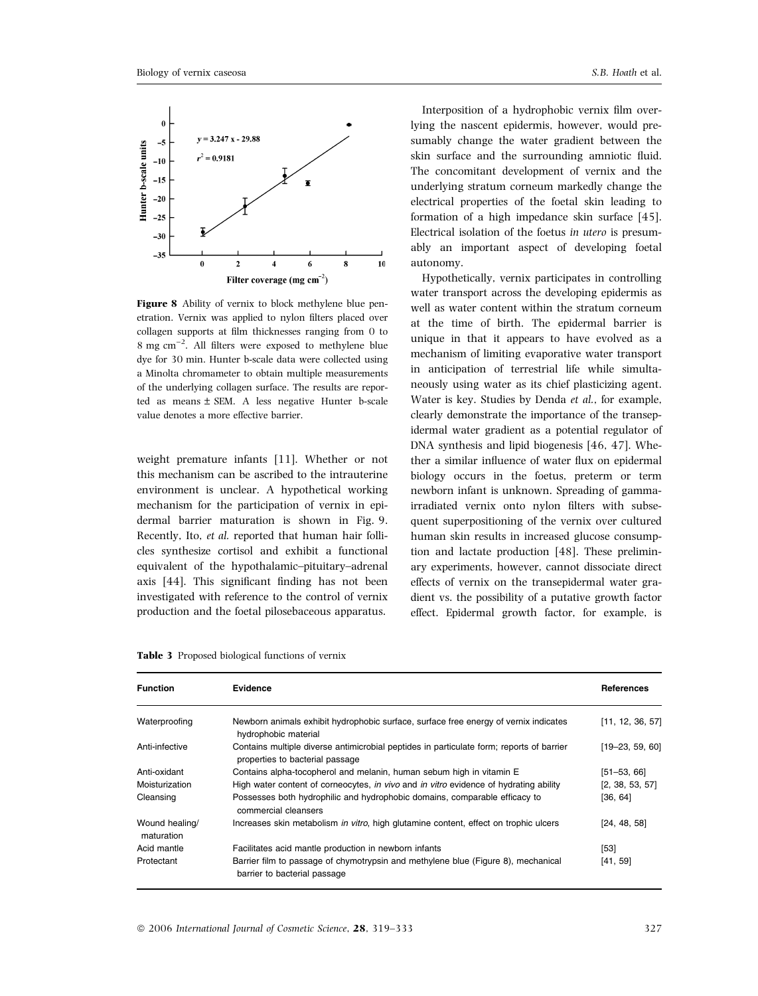

Figure 8 Ability of vernix to block methylene blue penetration. Vernix was applied to nylon filters placed over collagen supports at film thicknesses ranging from 0 to 8 mg  $cm^{-2}$ . All filters were exposed to methylene blue dye for 30 min. Hunter b-scale data were collected using a Minolta chromameter to obtain multiple measurements of the underlying collagen surface. The results are reported as means ± SEM. A less negative Hunter b-scale value denotes a more effective barrier.

weight premature infants [11]. Whether or not this mechanism can be ascribed to the intrauterine environment is unclear. A hypothetical working mechanism for the participation of vernix in epidermal barrier maturation is shown in Fig. 9. Recently, Ito, et al. reported that human hair follicles synthesize cortisol and exhibit a functional equivalent of the hypothalamic–pituitary–adrenal axis [44]. This significant finding has not been investigated with reference to the control of vernix production and the foetal pilosebaceous apparatus.

Interposition of a hydrophobic vernix film overlying the nascent epidermis, however, would presumably change the water gradient between the skin surface and the surrounding amniotic fluid. The concomitant development of vernix and the underlying stratum corneum markedly change the electrical properties of the foetal skin leading to formation of a high impedance skin surface [45]. Electrical isolation of the foetus in utero is presumably an important aspect of developing foetal

autonomy.

Hypothetically, vernix participates in controlling water transport across the developing epidermis as well as water content within the stratum corneum at the time of birth. The epidermal barrier is unique in that it appears to have evolved as a mechanism of limiting evaporative water transport in anticipation of terrestrial life while simultaneously using water as its chief plasticizing agent. Water is key. Studies by Denda et al., for example, clearly demonstrate the importance of the transepidermal water gradient as a potential regulator of DNA synthesis and lipid biogenesis [46, 47]. Whether a similar influence of water flux on epidermal biology occurs in the foetus, preterm or term newborn infant is unknown. Spreading of gammairradiated vernix onto nylon filters with subsequent superpositioning of the vernix over cultured human skin results in increased glucose consumption and lactate production [48]. These preliminary experiments, however, cannot dissociate direct effects of vernix on the transepidermal water gradient vs. the possibility of a putative growth factor effect. Epidermal growth factor, for example, is

| <b>Function</b>              | Evidence                                                                                                                    | <b>References</b>   |
|------------------------------|-----------------------------------------------------------------------------------------------------------------------------|---------------------|
| Waterproofing                | Newborn animals exhibit hydrophobic surface, surface free energy of vernix indicates<br>hydrophobic material                | [11, 12, 36, 57]    |
| Anti-infective               | Contains multiple diverse antimicrobial peptides in particulate form; reports of barrier<br>properties to bacterial passage | $[19 - 23, 59, 60]$ |
| Anti-oxidant                 | Contains alpha-tocopherol and melanin, human sebum high in vitamin E                                                        | $[51 - 53, 66]$     |
| Moisturization               | High water content of corneocytes, in vivo and in vitro evidence of hydrating ability                                       | [2, 38, 53, 57]     |
| Cleansing                    | Possesses both hydrophilic and hydrophobic domains, comparable efficacy to<br>commercial cleansers                          | [36, 64]            |
| Wound healing/<br>maturation | Increases skin metabolism in vitro, high glutamine content, effect on trophic ulcers                                        | [24, 48, 58]        |
| Acid mantle                  | Facilitates acid mantle production in newborn infants                                                                       | [53]                |
| Protectant                   | Barrier film to passage of chymotrypsin and methylene blue (Figure 8), mechanical<br>barrier to bacterial passage           | [41, 59]            |

Table 3 Proposed biological functions of vernix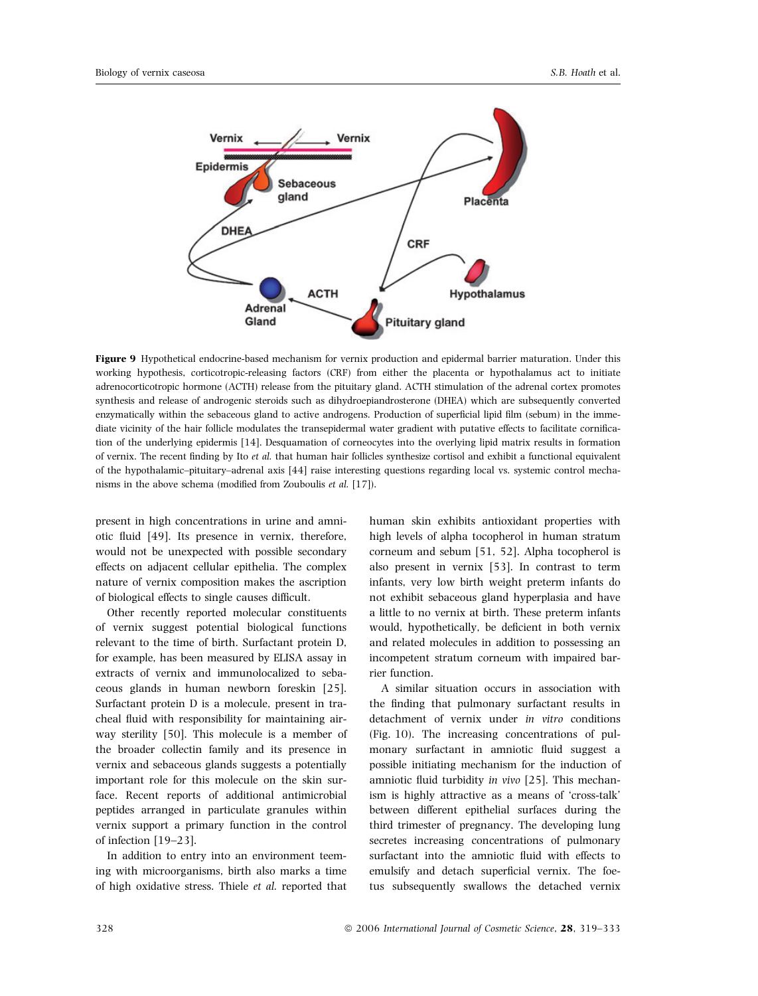

Figure 9 Hypothetical endocrine-based mechanism for vernix production and epidermal barrier maturation. Under this working hypothesis, corticotropic-releasing factors (CRF) from either the placenta or hypothalamus act to initiate adrenocorticotropic hormone (ACTH) release from the pituitary gland. ACTH stimulation of the adrenal cortex promotes synthesis and release of androgenic steroids such as dihydroepiandrosterone (DHEA) which are subsequently converted enzymatically within the sebaceous gland to active androgens. Production of superficial lipid film (sebum) in the immediate vicinity of the hair follicle modulates the transepidermal water gradient with putative effects to facilitate cornification of the underlying epidermis [14]. Desquamation of corneocytes into the overlying lipid matrix results in formation of vernix. The recent finding by Ito et al. that human hair follicles synthesize cortisol and exhibit a functional equivalent of the hypothalamic–pituitary–adrenal axis [44] raise interesting questions regarding local vs. systemic control mechanisms in the above schema (modified from Zouboulis et al. [17]).

present in high concentrations in urine and amniotic fluid [49]. Its presence in vernix, therefore, would not be unexpected with possible secondary effects on adjacent cellular epithelia. The complex nature of vernix composition makes the ascription of biological effects to single causes difficult.

Other recently reported molecular constituents of vernix suggest potential biological functions relevant to the time of birth. Surfactant protein D, for example, has been measured by ELISA assay in extracts of vernix and immunolocalized to sebaceous glands in human newborn foreskin [25]. Surfactant protein D is a molecule, present in tracheal fluid with responsibility for maintaining airway sterility [50]. This molecule is a member of the broader collectin family and its presence in vernix and sebaceous glands suggests a potentially important role for this molecule on the skin surface. Recent reports of additional antimicrobial peptides arranged in particulate granules within vernix support a primary function in the control of infection [19–23].

In addition to entry into an environment teeming with microorganisms, birth also marks a time of high oxidative stress. Thiele et al. reported that human skin exhibits antioxidant properties with high levels of alpha tocopherol in human stratum corneum and sebum [51, 52]. Alpha tocopherol is also present in vernix [53]. In contrast to term infants, very low birth weight preterm infants do not exhibit sebaceous gland hyperplasia and have a little to no vernix at birth. These preterm infants would, hypothetically, be deficient in both vernix and related molecules in addition to possessing an incompetent stratum corneum with impaired barrier function.

A similar situation occurs in association with the finding that pulmonary surfactant results in detachment of vernix under in vitro conditions (Fig. 10). The increasing concentrations of pulmonary surfactant in amniotic fluid suggest a possible initiating mechanism for the induction of amniotic fluid turbidity in vivo [25]. This mechanism is highly attractive as a means of 'cross-talk' between different epithelial surfaces during the third trimester of pregnancy. The developing lung secretes increasing concentrations of pulmonary surfactant into the amniotic fluid with effects to emulsify and detach superficial vernix. The foetus subsequently swallows the detached vernix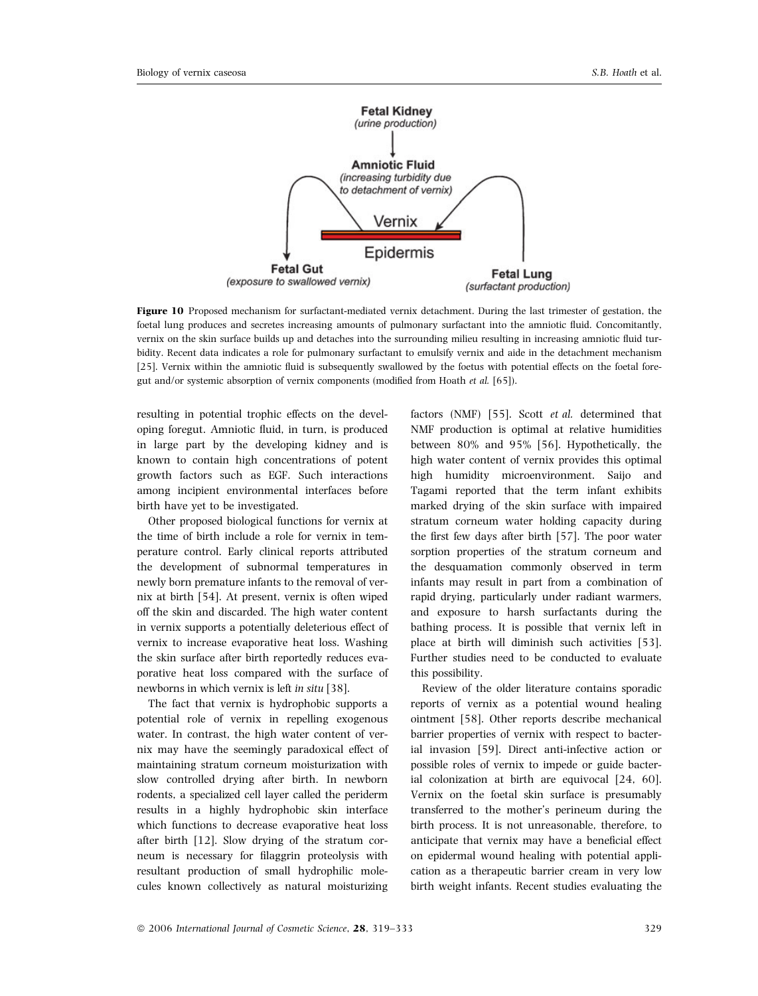

Figure 10 Proposed mechanism for surfactant-mediated vernix detachment. During the last trimester of gestation, the foetal lung produces and secretes increasing amounts of pulmonary surfactant into the amniotic fluid. Concomitantly, vernix on the skin surface builds up and detaches into the surrounding milieu resulting in increasing amniotic fluid turbidity. Recent data indicates a role for pulmonary surfactant to emulsify vernix and aide in the detachment mechanism [25]. Vernix within the amniotic fluid is subsequently swallowed by the foetus with potential effects on the foetal foregut and/or systemic absorption of vernix components (modified from Hoath et al. [65]).

resulting in potential trophic effects on the developing foregut. Amniotic fluid, in turn, is produced in large part by the developing kidney and is known to contain high concentrations of potent growth factors such as EGF. Such interactions among incipient environmental interfaces before birth have yet to be investigated.

Other proposed biological functions for vernix at the time of birth include a role for vernix in temperature control. Early clinical reports attributed the development of subnormal temperatures in newly born premature infants to the removal of vernix at birth [54]. At present, vernix is often wiped off the skin and discarded. The high water content in vernix supports a potentially deleterious effect of vernix to increase evaporative heat loss. Washing the skin surface after birth reportedly reduces evaporative heat loss compared with the surface of newborns in which vernix is left in situ [38].

The fact that vernix is hydrophobic supports a potential role of vernix in repelling exogenous water. In contrast, the high water content of vernix may have the seemingly paradoxical effect of maintaining stratum corneum moisturization with slow controlled drying after birth. In newborn rodents, a specialized cell layer called the periderm results in a highly hydrophobic skin interface which functions to decrease evaporative heat loss after birth [12]. Slow drying of the stratum corneum is necessary for filaggrin proteolysis with resultant production of small hydrophilic molecules known collectively as natural moisturizing

factors (NMF) [55]. Scott et al. determined that NMF production is optimal at relative humidities between 80% and 95% [56]. Hypothetically, the high water content of vernix provides this optimal high humidity microenvironment. Saijo and Tagami reported that the term infant exhibits marked drying of the skin surface with impaired stratum corneum water holding capacity during the first few days after birth [57]. The poor water sorption properties of the stratum corneum and the desquamation commonly observed in term infants may result in part from a combination of rapid drying, particularly under radiant warmers, and exposure to harsh surfactants during the bathing process. It is possible that vernix left in place at birth will diminish such activities [53]. Further studies need to be conducted to evaluate this possibility.

Review of the older literature contains sporadic reports of vernix as a potential wound healing ointment [58]. Other reports describe mechanical barrier properties of vernix with respect to bacterial invasion [59]. Direct anti-infective action or possible roles of vernix to impede or guide bacterial colonization at birth are equivocal [24, 60]. Vernix on the foetal skin surface is presumably transferred to the mother's perineum during the birth process. It is not unreasonable, therefore, to anticipate that vernix may have a beneficial effect on epidermal wound healing with potential application as a therapeutic barrier cream in very low birth weight infants. Recent studies evaluating the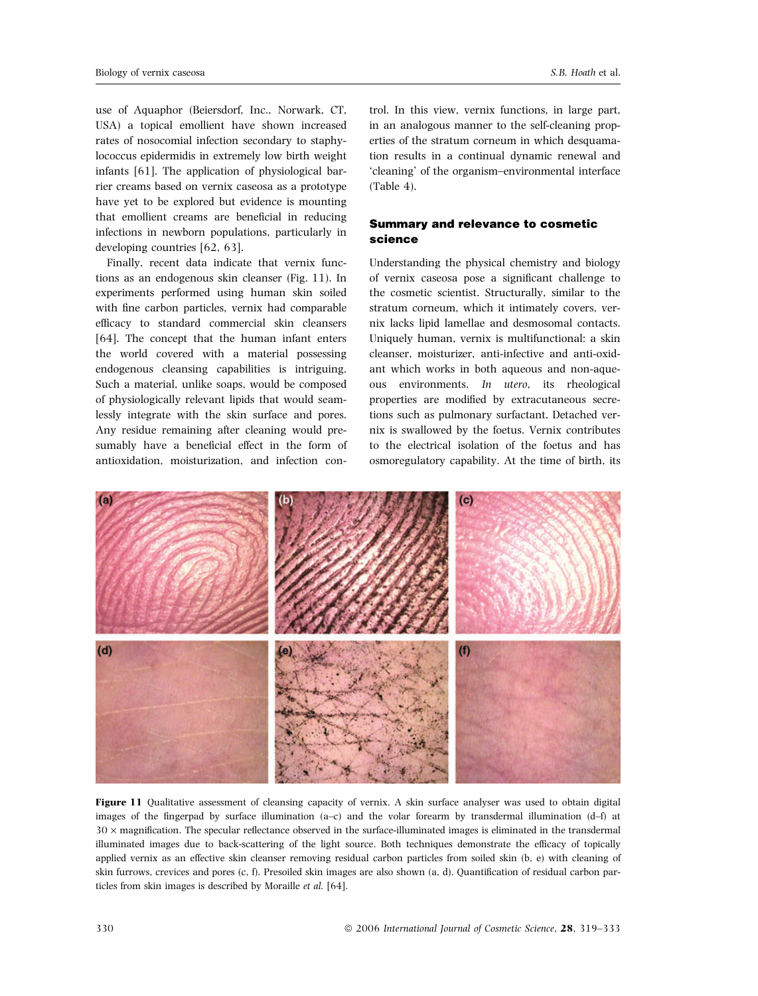use of Aquaphor (Beiersdorf, Inc., Norwark, CT, USA) a topical emollient have shown increased rates of nosocomial infection secondary to staphylococcus epidermidis in extremely low birth weight infants [61]. The application of physiological barrier creams based on vernix caseosa as a prototype have yet to be explored but evidence is mounting that emollient creams are beneficial in reducing infections in newborn populations, particularly in developing countries [62, 63].

Finally, recent data indicate that vernix functions as an endogenous skin cleanser (Fig. 11). In experiments performed using human skin soiled with fine carbon particles, vernix had comparable efficacy to standard commercial skin cleansers [64]. The concept that the human infant enters the world covered with a material possessing endogenous cleansing capabilities is intriguing. Such a material, unlike soaps, would be composed of physiologically relevant lipids that would seamlessly integrate with the skin surface and pores. Any residue remaining after cleaning would presumably have a beneficial effect in the form of antioxidation, moisturization, and infection control. In this view, vernix functions, in large part, in an analogous manner to the self-cleaning properties of the stratum corneum in which desquamation results in a continual dynamic renewal and 'cleaning' of the organism–environmental interface (Table 4).

## Summary and relevance to cosmetic science

Understanding the physical chemistry and biology of vernix caseosa pose a significant challenge to the cosmetic scientist. Structurally, similar to the stratum corneum, which it intimately covers, vernix lacks lipid lamellae and desmosomal contacts. Uniquely human, vernix is multifunctional: a skin cleanser, moisturizer, anti-infective and anti-oxidant which works in both aqueous and non-aqueous environments. In utero, its rheological properties are modified by extracutaneous secretions such as pulmonary surfactant. Detached vernix is swallowed by the foetus. Vernix contributes to the electrical isolation of the foetus and has osmoregulatory capability. At the time of birth, its



Figure 11 Qualitative assessment of cleansing capacity of vernix. A skin surface analyser was used to obtain digital images of the fingerpad by surface illumination (a–c) and the volar forearm by transdermal illumination (d–f) at  $30 \times$  magnification. The specular reflectance observed in the surface-illuminated images is eliminated in the transdermal illuminated images due to back-scattering of the light source. Both techniques demonstrate the efficacy of topically applied vernix as an effective skin cleanser removing residual carbon particles from soiled skin (b, e) with cleaning of skin furrows, crevices and pores (c, f). Presoiled skin images are also shown (a, d). Quantification of residual carbon particles from skin images is described by Moraille et al. [64].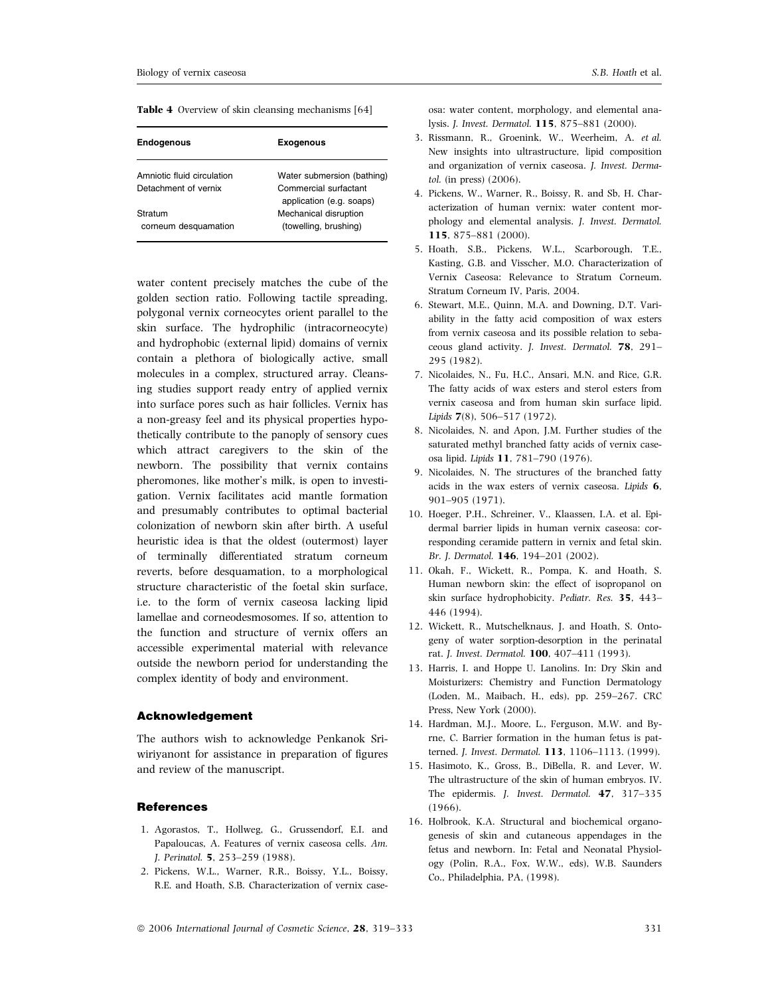|  |  |  |  |  | <b>Table 4</b> Overview of skin cleansing mechanisms [64] |  |
|--|--|--|--|--|-----------------------------------------------------------|--|
|--|--|--|--|--|-----------------------------------------------------------|--|

| <b>Endogenous</b>          | Exogenous                                         |
|----------------------------|---------------------------------------------------|
| Amniotic fluid circulation | Water submersion (bathing)                        |
| Detachment of vernix       | Commercial surfactant<br>application (e.g. soaps) |
| Stratum                    | Mechanical disruption                             |
| corneum desquamation       | (towelling, brushing)                             |

water content precisely matches the cube of the golden section ratio. Following tactile spreading, polygonal vernix corneocytes orient parallel to the skin surface. The hydrophilic (intracorneocyte) and hydrophobic (external lipid) domains of vernix contain a plethora of biologically active, small molecules in a complex, structured array. Cleansing studies support ready entry of applied vernix into surface pores such as hair follicles. Vernix has a non-greasy feel and its physical properties hypothetically contribute to the panoply of sensory cues which attract caregivers to the skin of the newborn. The possibility that vernix contains pheromones, like mother's milk, is open to investigation. Vernix facilitates acid mantle formation and presumably contributes to optimal bacterial colonization of newborn skin after birth. A useful heuristic idea is that the oldest (outermost) layer of terminally differentiated stratum corneum reverts, before desquamation, to a morphological structure characteristic of the foetal skin surface, i.e. to the form of vernix caseosa lacking lipid lamellae and corneodesmosomes. If so, attention to the function and structure of vernix offers an accessible experimental material with relevance outside the newborn period for understanding the complex identity of body and environment.

#### Acknowledgement

The authors wish to acknowledge Penkanok Sriwiriyanont for assistance in preparation of figures and review of the manuscript.

#### **References**

- 1. Agorastos, T., Hollweg, G., Grussendorf, E.I. and Papaloucas, A. Features of vernix caseosa cells. Am. J. Perinatol. 5, 253–259 (1988).
- 2. Pickens, W.L., Warner, R.R., Boissy, Y.L., Boissy, R.E. and Hoath, S.B. Characterization of vernix case-

osa: water content, morphology, and elemental analysis. J. Invest. Dermatol. 115, 875–881 (2000).

- 3. Rissmann, R., Groenink, W., Weerheim, A. et al. New insights into ultrastructure, lipid composition and organization of vernix caseosa. J. Invest. Dermatol. (in press) (2006).
- 4. Pickens, W., Warner, R., Boissy, R. and Sb, H. Characterization of human vernix: water content morphology and elemental analysis. J. Invest. Dermatol. 115, 875–881 (2000).
- 5. Hoath, S.B., Pickens, W.L., Scarborough, T.E., Kasting, G.B. and Visscher, M.O. Characterization of Vernix Caseosa: Relevance to Stratum Corneum. Stratum Corneum IV, Paris, 2004.
- 6. Stewart, M.E., Quinn, M.A. and Downing, D.T. Variability in the fatty acid composition of wax esters from vernix caseosa and its possible relation to sebaceous gland activity. J. Invest. Dermatol. 78, 291– 295 (1982).
- 7. Nicolaides, N., Fu, H.C., Ansari, M.N. and Rice, G.R. The fatty acids of wax esters and sterol esters from vernix caseosa and from human skin surface lipid. Lipids 7(8), 506–517 (1972).
- 8. Nicolaides, N. and Apon, J.M. Further studies of the saturated methyl branched fatty acids of vernix caseosa lipid. Lipids 11, 781–790 (1976).
- 9. Nicolaides, N. The structures of the branched fatty acids in the wax esters of vernix caseosa. Lipids 6, 901–905 (1971).
- 10. Hoeger, P.H., Schreiner, V., Klaassen, I.A. et al. Epidermal barrier lipids in human vernix caseosa: corresponding ceramide pattern in vernix and fetal skin. Br. J. Dermatol. 146, 194-201 (2002).
- 11. Okah, F., Wickett, R., Pompa, K. and Hoath, S. Human newborn skin: the effect of isopropanol on skin surface hydrophobicity. Pediatr. Res. 35, 443– 446 (1994).
- 12. Wickett, R., Mutschelknaus, J. and Hoath, S. Ontogeny of water sorption-desorption in the perinatal rat. J. Invest. Dermatol. 100, 407–411 (1993).
- 13. Harris, I. and Hoppe U. Lanolins. In: Dry Skin and Moisturizers: Chemistry and Function Dermatology (Loden, M., Maibach, H., eds), pp. 259–267. CRC Press, New York (2000).
- 14. Hardman, M.J., Moore, L., Ferguson, M.W. and Byrne, C. Barrier formation in the human fetus is patterned. J. Invest. Dermatol. 113, 1106–1113. (1999).
- 15. Hasimoto, K., Gross, B., DiBella, R. and Lever, W. The ultrastructure of the skin of human embryos. IV. The epidermis. J. Invest. Dermatol. 47, 317–335 (1966).
- 16. Holbrook, K.A. Structural and biochemical organogenesis of skin and cutaneous appendages in the fetus and newborn. In: Fetal and Neonatal Physiology (Polin, R.A., Fox, W.W., eds), W.B. Saunders Co., Philadelphia, PA, (1998).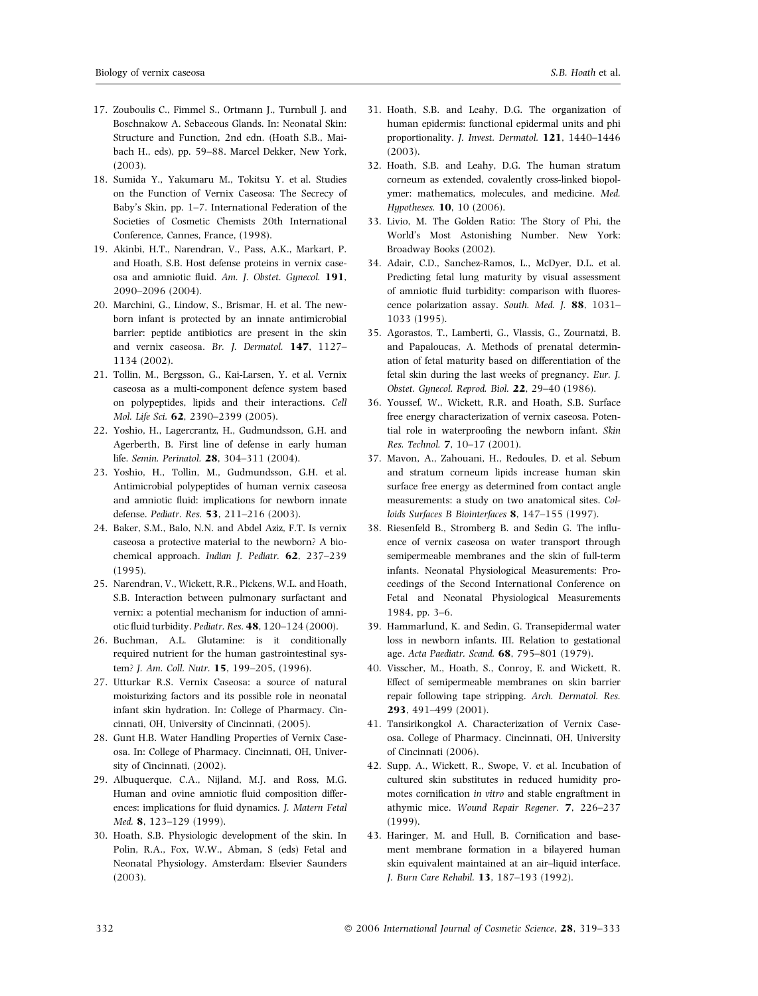- 17. Zouboulis C., Fimmel S., Ortmann J., Turnbull J. and Boschnakow A. Sebaceous Glands. In: Neonatal Skin: Structure and Function, 2nd edn. (Hoath S.B., Maibach H., eds), pp. 59–88. Marcel Dekker, New York, (2003).
- 18. Sumida Y., Yakumaru M., Tokitsu Y. et al. Studies on the Function of Vernix Caseosa: The Secrecy of Baby's Skin, pp. 1–7. International Federation of the Societies of Cosmetic Chemists 20th International Conference, Cannes, France, (1998).
- 19. Akinbi, H.T., Narendran, V., Pass, A.K., Markart, P. and Hoath, S.B. Host defense proteins in vernix caseosa and amniotic fluid. Am. J. Obstet. Gynecol. 191, 2090–2096 (2004).
- 20. Marchini, G., Lindow, S., Brismar, H. et al. The newborn infant is protected by an innate antimicrobial barrier: peptide antibiotics are present in the skin and vernix caseosa. Br. J. Dermatol. 147, 1127– 1134 (2002).
- 21. Tollin, M., Bergsson, G., Kai-Larsen, Y. et al. Vernix caseosa as a multi-component defence system based on polypeptides, lipids and their interactions. Cell Mol. Life Sci. 62, 2390–2399 (2005).
- 22. Yoshio, H., Lagercrantz, H., Gudmundsson, G.H. and Agerberth, B. First line of defense in early human life. Semin. Perinatol. 28, 304–311 (2004).
- 23. Yoshio, H., Tollin, M., Gudmundsson, G.H. et al. Antimicrobial polypeptides of human vernix caseosa and amniotic fluid: implications for newborn innate defense. Pediatr. Res. 53, 211–216 (2003).
- 24. Baker, S.M., Balo, N.N. and Abdel Aziz, F.T. Is vernix caseosa a protective material to the newborn? A biochemical approach. Indian J. Pediatr. 62, 237–239 (1995).
- 25. Narendran, V., Wickett, R.R., Pickens, W.L. and Hoath, S.B. Interaction between pulmonary surfactant and vernix: a potential mechanism for induction of amniotic fluid turbidity. Pediatr. Res. 48, 120–124 (2000).
- 26. Buchman, A.L. Glutamine: is it conditionally required nutrient for the human gastrointestinal system? J. Am. Coll. Nutr. 15, 199–205, (1996).
- 27. Utturkar R.S. Vernix Caseosa: a source of natural moisturizing factors and its possible role in neonatal infant skin hydration. In: College of Pharmacy. Cincinnati, OH, University of Cincinnati, (2005).
- 28. Gunt H.B. Water Handling Properties of Vernix Caseosa. In: College of Pharmacy. Cincinnati, OH, University of Cincinnati, (2002).
- 29. Albuquerque, C.A., Nijland, M.J. and Ross, M.G. Human and ovine amniotic fluid composition differences: implications for fluid dynamics. J. Matern Fetal Med. 8, 123–129 (1999).
- 30. Hoath, S.B. Physiologic development of the skin. In Polin, R.A., Fox, W.W., Abman, S (eds) Fetal and Neonatal Physiology. Amsterdam: Elsevier Saunders (2003).
- 31. Hoath, S.B. and Leahy, D.G. The organization of human epidermis: functional epidermal units and phi proportionality. J. Invest. Dermatol. 121, 1440–1446 (2003).
- 32. Hoath, S.B. and Leahy, D.G. The human stratum corneum as extended, covalently cross-linked biopolymer: mathematics, molecules, and medicine. Med. Hypotheses. 10, 10 (2006).
- 33. Livio, M. The Golden Ratio: The Story of Phi, the World's Most Astonishing Number. New York: Broadway Books (2002).
- 34. Adair, C.D., Sanchez-Ramos, L., McDyer, D.L. et al. Predicting fetal lung maturity by visual assessment of amniotic fluid turbidity: comparison with fluorescence polarization assay. South. Med. J. 88, 1031– 1033 (1995).
- 35. Agorastos, T., Lamberti, G., Vlassis, G., Zournatzi, B. and Papaloucas, A. Methods of prenatal determination of fetal maturity based on differentiation of the fetal skin during the last weeks of pregnancy. Eur. J. Obstet. Gynecol. Reprod. Biol. 22, 29–40 (1986).
- 36. Youssef, W., Wickett, R.R. and Hoath, S.B. Surface free energy characterization of vernix caseosa. Potential role in waterproofing the newborn infant. Skin Res. Technol. 7, 10–17 (2001).
- 37. Mavon, A., Zahouani, H., Redoules, D. et al. Sebum and stratum corneum lipids increase human skin surface free energy as determined from contact angle measurements: a study on two anatomical sites. Colloids Surfaces B Biointerfaces 8, 147–155 (1997).
- 38. Riesenfeld B., Stromberg B. and Sedin G. The influence of vernix caseosa on water transport through semipermeable membranes and the skin of full-term infants. Neonatal Physiological Measurements: Proceedings of the Second International Conference on Fetal and Neonatal Physiological Measurements 1984, pp. 3–6.
- 39. Hammarlund, K. and Sedin, G. Transepidermal water loss in newborn infants. III. Relation to gestational age. Acta Paediatr. Scand. 68, 795–801 (1979).
- 40. Visscher, M., Hoath, S., Conroy, E. and Wickett, R. Effect of semipermeable membranes on skin barrier repair following tape stripping. Arch. Dermatol. Res. 293, 491–499 (2001).
- 41. Tansirikongkol A. Characterization of Vernix Caseosa. College of Pharmacy. Cincinnati, OH, University of Cincinnati (2006).
- 42. Supp, A., Wickett, R., Swope, V. et al. Incubation of cultured skin substitutes in reduced humidity promotes cornification in vitro and stable engraftment in athymic mice. Wound Repair Regener. 7, 226–237 (1999).
- 43. Haringer, M. and Hull, B. Cornification and basement membrane formation in a bilayered human skin equivalent maintained at an air–liquid interface. J. Burn Care Rehabil. 13, 187–193 (1992).